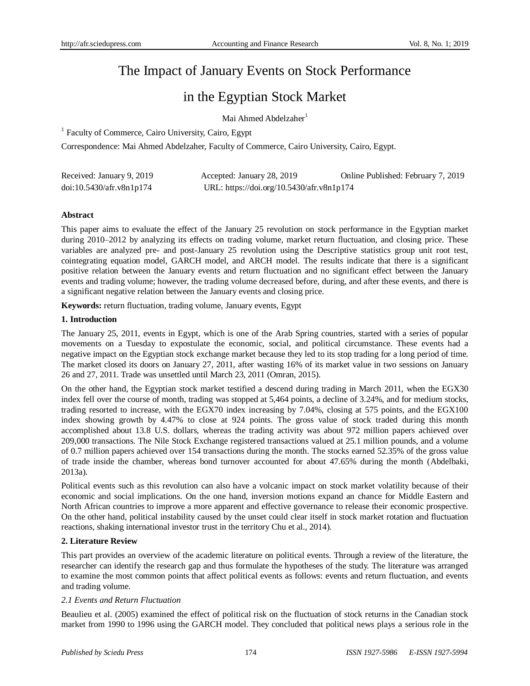# The Impact of January Events on Stock Performance

# in the Egyptian Stock Market

Mai Ahmed Abdelzaher<sup>1</sup>

<sup>1</sup> Faculty of Commerce, Cairo University, Cairo, Egypt

Correspondence: Mai Ahmed Abdelzaher, Faculty of Commerce, Cairo University, Cairo, Egypt.

| Received: January 9, 2019 | Accepted: January 28, 2019                | Online Published: February 7, 2019 |
|---------------------------|-------------------------------------------|------------------------------------|
| doi:10.5430/afr.v8n1p174  | URL: https://doi.org/10.5430/afr.v8n1p174 |                                    |

## **Abstract**

This paper aims to evaluate the effect of the January 25 revolution on stock performance in the Egyptian market during 2010–2012 by analyzing its effects on trading volume, market return fluctuation, and closing price. These variables are analyzed pre- and post-January 25 revolution using the Descriptive statistics group unit root test, cointegrating equation model, GARCH model, and ARCH model. The results indicate that there is a significant positive relation between the January events and return fluctuation and no significant effect between the January events and trading volume; however, the trading volume decreased before, during, and after these events, and there is a significant negative relation between the January events and closing price.

**Keywords:** return fluctuation, trading volume, January events, Egypt

## **1. Introduction**

The January 25, 2011, events in Egypt, which is one of the Arab Spring countries, started with a series of popular movements on a Tuesday to expostulate the economic, social, and political circumstance. These events had a negative impact on the Egyptian stock exchange market because they led to its stop trading for a long period of time. The market closed its doors on January 27, 2011, after wasting 16% of its market value in two sessions on January 26 and 27, 2011. Trade was unsettled until March 23, 2011 (Omran, 2015).

On the other hand, the Egyptian stock market testified a descend during trading in March 2011, when the EGX30 index fell over the course of month, trading was stopped at 5,464 points, a decline of 3.24%, and for medium stocks, trading resorted to increase, with the EGX70 index increasing by 7.04%, closing at 575 points, and the EGX100 index showing growth by 4.47% to close at 924 points. The gross value of stock traded during this month accomplished about 13.8 U.S. dollars, whereas the trading activity was about 972 million papers achieved over 209,000 transactions. The Nile Stock Exchange registered transactions valued at 25.1 million pounds, and a volume of 0.7 million papers achieved over 154 transactions during the month. The stocks earned 52.35% of the gross value of trade inside the chamber, whereas bond turnover accounted for about 47.65% during the month (Abdelbaki, 2013a).

Political events such as this revolution can also have a volcanic impact on stock market volatility because of their economic and social implications. On the one hand, inversion motions expand an chance for Middle Eastern and North African countries to improve a more apparent and effective governance to release their economic prospective. On the other hand, political instability caused by the unset could clear itself in stock market rotation and fluctuation reactions, shaking international investor trust in the territory Chu et al., 2014).

## **2. Literature Review**

This part provides an overview of the academic literature on political events. Through a review of the literature, the researcher can identify the research gap and thus formulate the hypotheses of the study. The literature was arranged to examine the most common points that affect political events as follows: events and return fluctuation, and events and trading volume.

## *2.1 Events and Return Fluctuation*

Beaulieu et al. (2005) examined the effect of political risk on the fluctuation of stock returns in the Canadian stock market from 1990 to 1996 using the GARCH model. They concluded that political news plays a serious role in the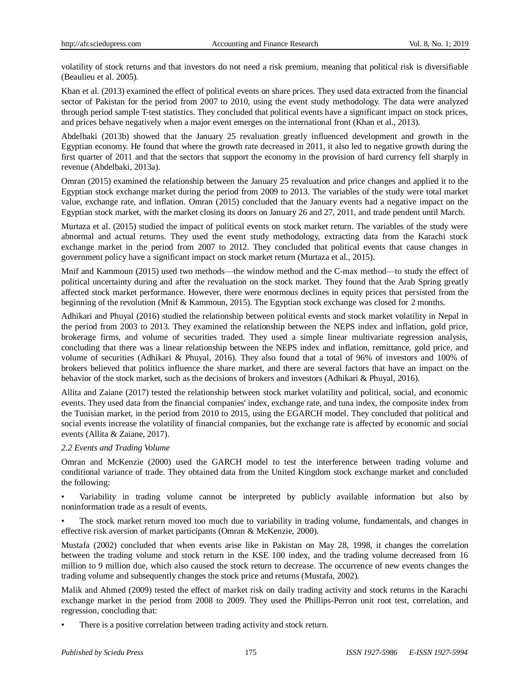volatility of stock returns and that investors do not need a risk premium, meaning that political risk is diversifiable (Beaulieu et al. 2005).

Khan et al. (2013) examined the effect of political events on share prices. They used data extracted from the financial sector of Pakistan for the period from 2007 to 2010, using the event study methodology. The data were analyzed through period sample T-test statistics. They concluded that political events have a significant impact on stock prices, and prices behave negatively when a major event emerges on the international front (Khan et al., 2013).

Abdelbaki (2013b) showed that the January 25 revaluation greatly influenced development and growth in the Egyptian economy. He found that where the growth rate decreased in 2011, it also led to negative growth during the first quarter of 2011 and that the sectors that support the economy in the provision of hard currency fell sharply in revenue (Abdelbaki, 2013a).

Omran (2015) examined the relationship between the January 25 revaluation and price changes and applied it to the Egyptian stock exchange market during the period from 2009 to 2013. The variables of the study were total market value, exchange rate, and inflation. Omran (2015) concluded that the January events had a negative impact on the Egyptian stock market, with the market closing its doors on January 26 and 27, 2011, and trade pendent until March.

Murtaza et al. (2015) studied the impact of political events on stock market return. The variables of the study were abnormal and actual returns. They used the event study methodology, extracting data from the Karachi stock exchange market in the period from 2007 to 2012. They concluded that political events that cause changes in government policy have a significant impact on stock market return (Murtaza et al., 2015).

Mnif and Kammoun (2015) used two methods—the window method and the C-max method—to study the effect of political uncertainty during and after the revaluation on the stock market. They found that the Arab Spring greatly affected stock market performance. However, there were enormous declines in equity prices that persisted from the beginning of the revolution (Mnif & Kammoun, 2015). The Egyptian stock exchange was closed for 2 months.

Adhikari and Phuyal (2016) studied the relationship between political events and stock market volatility in Nepal in the period from 2003 to 2013. They examined the relationship between the NEPS index and inflation, gold price, brokerage firms, and volume of securities traded. They used a simple linear multivariate regression analysis, concluding that there was a linear relationship between the NEPS index and inflation, remittance, gold price, and volume of securities (Adhikari & Phuyal, 2016). They also found that a total of 96% of investors and 100% of brokers believed that politics influence the share market, and there are several factors that have an impact on the behavior of the stock market, such as the decisions of brokers and investors (Adhikari & Phuyal, 2016).

Allita and Zaiane (2017) tested the relationship between stock market volatility and political, social, and economic events. They used data from the financial companies' index, exchange rate, and tuna index, the composite index from the Tunisian market, in the period from 2010 to 2015, using the EGARCH model. They concluded that political and social events increase the volatility of financial companies, but the exchange rate is affected by economic and social events (Allita & Zaiane, 2017).

## *2.2 Events and Trading Volume*

Omran and McKenzie (2000) used the GARCH model to test the interference between trading volume and conditional variance of trade. They obtained data from the United Kingdom stock exchange market and concluded the following:

• Variability in trading volume cannot be interpreted by publicly available information but also by noninformation trade as a result of events.

• The stock market return moved too much due to variability in trading volume, fundamentals, and changes in effective risk aversion of market participants (Omran & McKenzie, 2000).

Mustafa (2002) concluded that when events arise like in Pakistan on May 28, 1998, it changes the correlation between the trading volume and stock return in the KSE 100 index, and the trading volume decreased from 16 million to 9 million due, which also caused the stock return to decrease. The occurrence of new events changes the trading volume and subsequently changes the stock price and returns (Mustafa, 2002).

Malik and Ahmed (2009) tested the effect of market risk on daily trading activity and stock returns in the Karachi exchange market in the period from 2008 to 2009. They used the Phillips-Perron unit root test, correlation, and regression, concluding that:

There is a positive correlation between trading activity and stock return.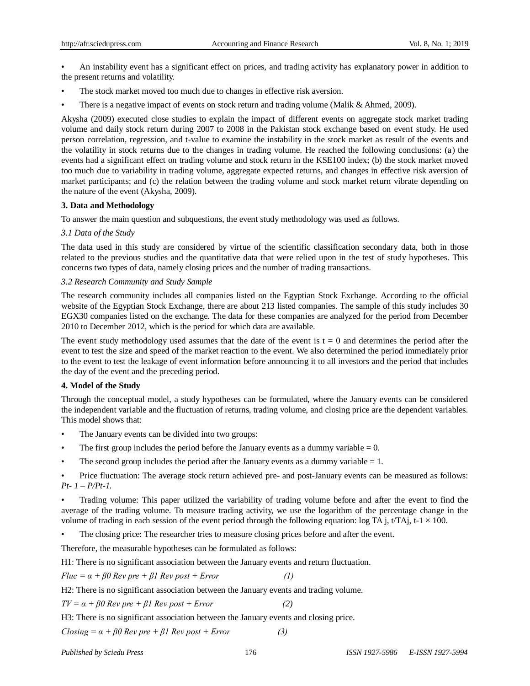• An instability event has a significant effect on prices, and trading activity has explanatory power in addition to the present returns and volatility.

- The stock market moved too much due to changes in effective risk aversion.
- There is a negative impact of events on stock return and trading volume (Malik & Ahmed, 2009).

Akysha (2009) executed close studies to explain the impact of different events on aggregate stock market trading volume and daily stock return during 2007 to 2008 in the Pakistan stock exchange based on event study. He used person correlation, regression, and t-value to examine the instability in the stock market as result of the events and the volatility in stock returns due to the changes in trading volume. He reached the following conclusions: (a) the events had a significant effect on trading volume and stock return in the KSE100 index; (b) the stock market moved too much due to variability in trading volume, aggregate expected returns, and changes in effective risk aversion of market participants; and (c) the relation between the trading volume and stock market return vibrate depending on the nature of the event (Akysha, 2009).

### **3. Data and Methodology**

To answer the main question and subquestions, the event study methodology was used as follows.

### *3.1 Data of the Study*

The data used in this study are considered by virtue of the scientific classification secondary data, both in those related to the previous studies and the quantitative data that were relied upon in the test of study hypotheses. This concerns two types of data, namely closing prices and the number of trading transactions.

### *3.2 Research Community and Study Sample*

The research community includes all companies listed on the Egyptian Stock Exchange. According to the official website of the Egyptian Stock Exchange, there are about 213 listed companies. The sample of this study includes 30 EGX30 companies listed on the exchange. The data for these companies are analyzed for the period from December 2010 to December 2012, which is the period for which data are available.

The event study methodology used assumes that the date of the event is  $t = 0$  and determines the period after the event to test the size and speed of the market reaction to the event. We also determined the period immediately prior to the event to test the leakage of event information before announcing it to all investors and the period that includes the day of the event and the preceding period.

## **4. Model of the Study**

Through the conceptual model, a study hypotheses can be formulated, where the January events can be considered the independent variable and the fluctuation of returns, trading volume, and closing price are the dependent variables. This model shows that:

- The January events can be divided into two groups:
- The first group includes the period before the January events as a dummy variable  $= 0$ .
- The second group includes the period after the January events as a dummy variable  $= 1$ .

• Price fluctuation: The average stock return achieved pre- and post-January events can be measured as follows: *Pt- 1 – P/Pt-1.*

• Trading volume: This paper utilized the variability of trading volume before and after the event to find the average of the trading volume. To measure trading activity, we use the logarithm of the percentage change in the volume of trading in each session of the event period through the following equation: log TA j, t/TAj, t-1  $\times$  100.

The closing price: The researcher tries to measure closing prices before and after the event.

Therefore, the measurable hypotheses can be formulated as follows:

H1: There is no significant association between the January events and return fluctuation.

$$
Fluc = \alpha + \beta 0 \text{ Rev pre} + \beta 1 \text{ Rev post} + Error \tag{1}
$$

H2: There is no significant association between the January events and trading volume.

$$
TV = \alpha + \beta 0 \text{ Rev pre} + \beta 1 \text{ Rev post} + Error \tag{2}
$$

H3: There is no significant association between the January events and closing price.

*Closing* =  $\alpha$  +  $\beta$ 0 Rev pre +  $\beta$ 1 Rev post + Error (3)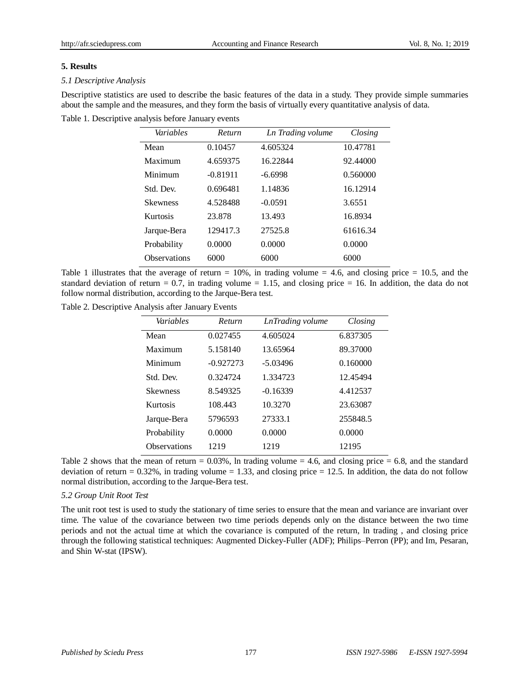### **5. Results**

### *5.1 Descriptive Analysis*

Descriptive statistics are used to describe the basic features of the data in a study. They provide simple summaries about the sample and the measures, and they form the basis of virtually every quantitative analysis of data. Table 1. Descriptive analysis before January events

| Variables       | Return     | Ln Trading volume | Closing  |
|-----------------|------------|-------------------|----------|
| Mean            | 0.10457    | 4.605324          | 10.47781 |
| Maximum         | 4.659375   | 16.22844          | 92.44000 |
| Minimum         | $-0.81911$ | $-6.6998$         | 0.560000 |
| Std. Dev.       | 0.696481   | 1.14836           | 16.12914 |
| <b>Skewness</b> | 4.528488   | $-0.0591$         | 3.6551   |
| Kurtosis        | 23.878     | 13.493            | 16.8934  |
| Jarque-Bera     | 129417.3   | 27525.8           | 61616.34 |
| Probability     | 0.0000     | 0.0000            | 0.0000   |
| Observations    | 6000       | 6000              | 6000     |

Table 1 illustrates that the average of return  $= 10\%$ , in trading volume  $= 4.6$ , and closing price  $= 10.5$ , and the standard deviation of return  $= 0.7$ , in trading volume  $= 1.15$ , and closing price  $= 16$ . In addition, the data do not follow normal distribution, according to the Jarque-Bera test.

Table 2. Descriptive Analysis after January Events

| Variables           | Return      | LnTrading volume | Closing  |
|---------------------|-------------|------------------|----------|
| Mean                | 0.027455    | 4.605024         | 6.837305 |
| Maximum             | 5.158140    | 13.65964         | 89.37000 |
| Minimum             | $-0.927273$ | $-5.03496$       | 0.160000 |
| Std. Dev.           | 0.324724    | 1.334723         | 12.45494 |
| <b>Skewness</b>     | 8.549325    | $-0.16339$       | 4.412537 |
| Kurtosis            | 108.443     | 10.3270          | 23.63087 |
| Jarque-Bera         | 5796593     | 27333.1          | 255848.5 |
| Probability         | 0.0000      | 0.0000           | 0.0000   |
| <b>Observations</b> | 1219        | 1219             | 12195    |

Table 2 shows that the mean of return  $= 0.03\%$ , ln trading volume  $= 4.6$ , and closing price  $= 6.8$ , and the standard deviation of return =  $0.32\%$ , in trading volume = 1.33, and closing price = 12.5. In addition, the data do not follow normal distribution, according to the Jarque-Bera test.

## *5.2 Group Unit Root Test*

The unit root test is used to study the stationary of time series to ensure that the mean and variance are invariant over time. The value of the covariance between two time periods depends only on the distance between the two time periods and not the actual time at which the covariance is computed of the return, ln trading , and closing price through the following statistical techniques: Augmented Dickey-Fuller (ADF); Philips–Perron (PP); and Im, Pesaran, and Shin W-stat (IPSW).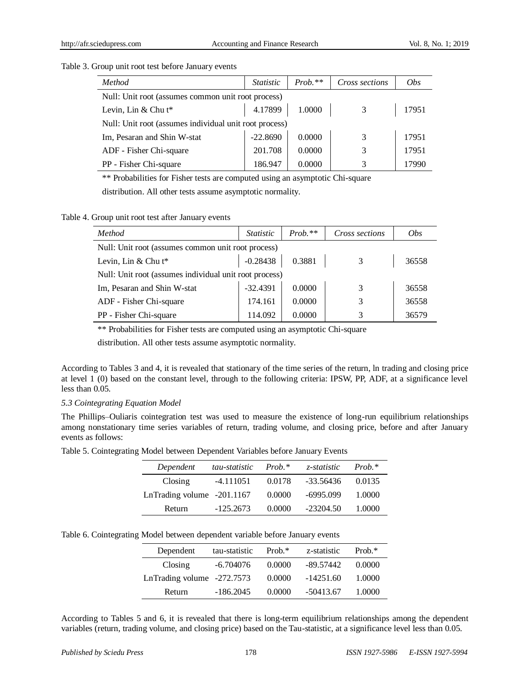## Table 3. Group unit root test before January events

| Method                                                 | <i>Statistic</i> | $Prob.**$ | Cross sections | <i>Obs</i> |  |  |  |
|--------------------------------------------------------|------------------|-----------|----------------|------------|--|--|--|
| Null: Unit root (assumes common unit root process)     |                  |           |                |            |  |  |  |
| Levin, Lin & Chu $t^*$                                 | 4.17899          | 1.0000    |                | 17951      |  |  |  |
| Null: Unit root (assumes individual unit root process) |                  |           |                |            |  |  |  |
| $-22.8690$<br>0.0000<br>Im, Pesaran and Shin W-stat    |                  |           |                |            |  |  |  |
| ADF - Fisher Chi-square                                | 201.708          | 0.0000    | 3              | 17951      |  |  |  |
| PP - Fisher Chi-square                                 | 186.947          | 0.0000    |                | 17990      |  |  |  |

\*\* Probabilities for Fisher tests are computed using an asymptotic Chi-square

distribution. All other tests assume asymptotic normality.

Table 4. Group unit root test after January events

| Method                                                 | <i>Statistic</i> | $Prob.**$ | Cross sections | <i>Obs</i> |  |  |  |
|--------------------------------------------------------|------------------|-----------|----------------|------------|--|--|--|
| Null: Unit root (assumes common unit root process)     |                  |           |                |            |  |  |  |
| Levin, Lin & Chu t*                                    | $-0.28438$       | 0.3881    |                | 36558      |  |  |  |
| Null: Unit root (assumes individual unit root process) |                  |           |                |            |  |  |  |
| Im, Pesaran and Shin W-stat                            | $-32.4391$       | 0.0000    |                | 36558      |  |  |  |
| ADF - Fisher Chi-square                                | 174.161          | 0.0000    |                | 36558      |  |  |  |
| PP - Fisher Chi-square                                 | 114.092          | 0.0000    |                | 36579      |  |  |  |

\*\* Probabilities for Fisher tests are computed using an asymptotic Chi-square

distribution. All other tests assume asymptotic normality.

According to Tables 3 and 4, it is revealed that stationary of the time series of the return, ln trading and closing price at level 1 (0) based on the constant level, through to the following criteria: IPSW, PP, ADF, at a significance level less than 0.05.

#### *5.3 Cointegrating Equation Model*

The Phillips–Ouliaris cointegration test was used to measure the existence of long-run equilibrium relationships among nonstationary time series variables of return, trading volume, and closing price, before and after January events as follows:

| Table 5. Cointegrating Model between Dependent Variables before January Events |  |  |  |  |
|--------------------------------------------------------------------------------|--|--|--|--|
|                                                                                |  |  |  |  |

| Dependent                    | tau-statistic | $Prob.*$ | z-statistic | $Prob.*$ |
|------------------------------|---------------|----------|-------------|----------|
| Closing                      | $-4.111051$   | 0.0178   | -33.56436   | 0.0135   |
| LnTrading volume $-201.1167$ |               | 0.0000   | -6995.099   | 1.0000   |
| Return                       | $-125.2673$   | 0.0000   | $-23204.50$ | 1.0000   |

Table 6. Cointegrating Model between dependent variable before January events

| Dependent                  | tau-statistic | $Prob.*$ | z-statistic | $Prob.*$ |
|----------------------------|---------------|----------|-------------|----------|
| Closing                    | $-6.704076$   | 0.0000   | -89.57442   | 0.0000   |
| LnTrading volume -272.7573 |               | 0.0000   | $-14251.60$ | 1.0000   |
| Return                     | $-186.2045$   | 0.0000   | $-50413.67$ | 1.0000   |

According to Tables 5 and 6, it is revealed that there is long-term equilibrium relationships among the dependent variables (return, trading volume, and closing price) based on the Tau-statistic, at a significance level less than 0.05.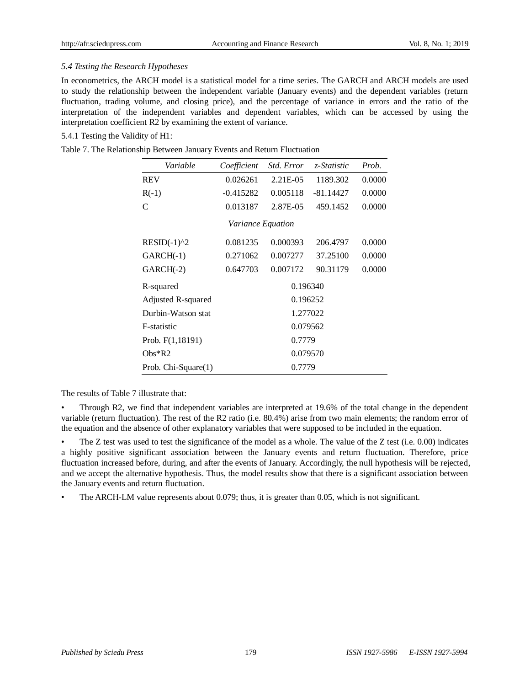## *5.4 Testing the Research Hypotheses*

In econometrics, the ARCH model is a statistical model for a time series. The GARCH and ARCH models are used to study the relationship between the independent variable (January events) and the dependent variables (return fluctuation, trading volume, and closing price), and the percentage of variance in errors and the ratio of the interpretation of the independent variables and dependent variables, which can be accessed by using the interpretation coefficient R2 by examining the extent of variance.

## 5.4.1 Testing the Validity of H1:

| Variable            | Coefficient | <i>Std. Error</i> | z-Statistic | Prob.  |  |  |  |  |
|---------------------|-------------|-------------------|-------------|--------|--|--|--|--|
| <b>REV</b>          | 0.026261    | 2.21E-05          | 1189.302    | 0.0000 |  |  |  |  |
| $R(-1)$             | -0.415282   | 0.005118          | $-81.14427$ | 0.0000 |  |  |  |  |
| C                   | 0.013187    | 2.87E-05          | 459.1452    | 0.0000 |  |  |  |  |
| Variance Equation   |             |                   |             |        |  |  |  |  |
| $RESID(-1)2$        | 0.081235    | 0.000393          | 206.4797    | 0.0000 |  |  |  |  |
| $GARCH(-1)$         | 0.271062    | 0.007277          | 37.25100    | 0.0000 |  |  |  |  |
| $GARCH(-2)$         | 0.647703    | 0.007172          | 90.31179    | 0.0000 |  |  |  |  |
| R-squared           |             | 0.196340          |             |        |  |  |  |  |
| Adjusted R-squared  |             | 0.196252          |             |        |  |  |  |  |
| Durbin-Watson stat  |             | 1.277022          |             |        |  |  |  |  |
| F-statistic         |             | 0.079562          |             |        |  |  |  |  |
| Prob. $F(1,18191)$  |             | 0.7779            |             |        |  |  |  |  |
| $Obs*R2$            |             | 0.079570          |             |        |  |  |  |  |
| Prob. Chi-Square(1) |             | 0.7779            |             |        |  |  |  |  |

The results of Table 7 illustrate that:

• Through R2, we find that independent variables are interpreted at 19.6% of the total change in the dependent variable (return fluctuation). The rest of the R2 ratio (i.e. 80.4%) arise from two main elements; the random error of the equation and the absence of other explanatory variables that were supposed to be included in the equation.

The Z test was used to test the significance of the model as a whole. The value of the Z test (i.e. 0.00) indicates a highly positive significant association between the January events and return fluctuation. Therefore, price fluctuation increased before, during, and after the events of January. Accordingly, the null hypothesis will be rejected, and we accept the alternative hypothesis. Thus, the model results show that there is a significant association between the January events and return fluctuation.

The ARCH-LM value represents about 0.079; thus, it is greater than 0.05, which is not significant.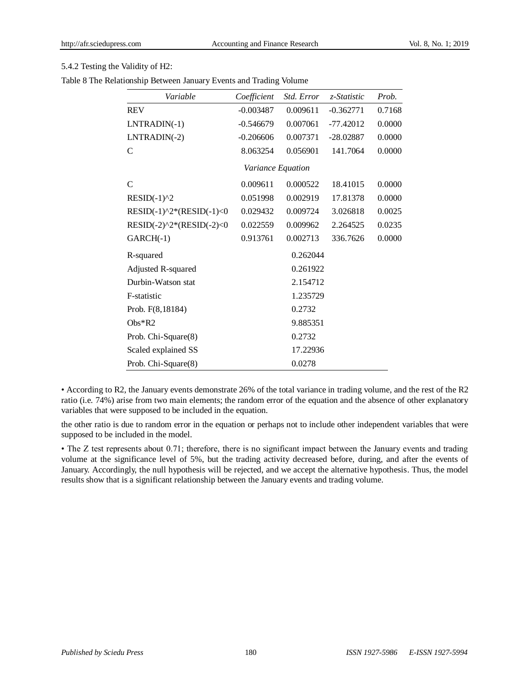## 5.4.2 Testing the Validity of H2:

Table 8 The Relationship Between January Events and Trading Volume

| Variable                               | Coefficient       | Std. Error | z-Statistic | Prob.  |  |  |  |
|----------------------------------------|-------------------|------------|-------------|--------|--|--|--|
| <b>REV</b>                             | $-0.003487$       | 0.009611   | $-0.362771$ | 0.7168 |  |  |  |
| $LNTRADIN(-1)$                         | $-0.546679$       | 0.007061   | $-77.42012$ | 0.0000 |  |  |  |
| LNTRADIN(-2)                           | $-0.206606$       | 0.007371   | $-28.02887$ | 0.0000 |  |  |  |
| $\mathcal{C}$                          | 8.063254          | 0.056901   | 141.7064    | 0.0000 |  |  |  |
|                                        | Variance Equation |            |             |        |  |  |  |
| C                                      | 0.009611          | 0.000522   | 18.41015    | 0.0000 |  |  |  |
| $RESID(-1)^2$                          | 0.051998          | 0.002919   | 17.81378    | 0.0000 |  |  |  |
| RESID(-1) $^{\wedge}2^*(RESID(-1) < 0$ | 0.029432          | 0.009724   | 3.026818    | 0.0025 |  |  |  |
| RESID(-2)^2*(RESID(-2)<0               | 0.022559          | 0.009962   | 2.264525    | 0.0235 |  |  |  |
| $GARCH(-1)$                            | 0.913761          | 0.002713   | 336.7626    | 0.0000 |  |  |  |
| R-squared                              |                   | 0.262044   |             |        |  |  |  |
| Adjusted R-squared                     |                   | 0.261922   |             |        |  |  |  |
| Durbin-Watson stat                     |                   | 2.154712   |             |        |  |  |  |
| F-statistic                            |                   | 1.235729   |             |        |  |  |  |
| Prob. F(8,18184)                       |                   | 0.2732     |             |        |  |  |  |
| $Obs*R2$                               |                   | 9.885351   |             |        |  |  |  |
| Prob. Chi-Square(8)                    |                   | 0.2732     |             |        |  |  |  |
| Scaled explained SS                    |                   | 17.22936   |             |        |  |  |  |
| Prob. Chi-Square(8)                    |                   | 0.0278     |             |        |  |  |  |

• According to R2, the January events demonstrate 26% of the total variance in trading volume, and the rest of the R2 ratio (i.e. 74%) arise from two main elements; the random error of the equation and the absence of other explanatory variables that were supposed to be included in the equation.

the other ratio is due to random error in the equation or perhaps not to include other independent variables that were supposed to be included in the model.

• The Z test represents about 0.71; therefore, there is no significant impact between the January events and trading volume at the significance level of 5%, but the trading activity decreased before, during, and after the events of January. Accordingly, the null hypothesis will be rejected, and we accept the alternative hypothesis. Thus, the model results show that is a significant relationship between the January events and trading volume.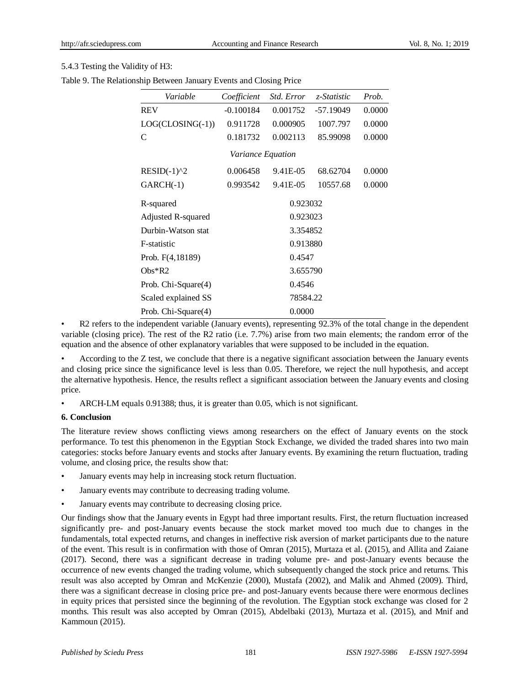### 5.4.3 Testing the Validity of H3:

|  | Table 9. The Relationship Between January Events and Closing Price |  |  |  |
|--|--------------------------------------------------------------------|--|--|--|
|  |                                                                    |  |  |  |

| Variable            | Coefficient       | Std. Error | z-Statistic | Prob.  |
|---------------------|-------------------|------------|-------------|--------|
| <b>REV</b>          | $-0.100184$       | 0.001752   | $-57.19049$ | 0.0000 |
| $LOG(CLOSING(-1))$  | 0.911728          | 0.000905   | 1007.797    | 0.0000 |
| C                   | 0.181732          | 0.002113   | 85.99098    | 0.0000 |
|                     | Variance Equation |            |             |        |
| $RESID(-1)^2$       | 0.006458          | 9.41E-05   | 68.62704    | 0.0000 |
| $GARCH(-1)$         | 0.993542          | 9.41E-05   | 10557.68    | 0.0000 |
| R-squared           | 0.923032          |            |             |        |
| Adjusted R-squared  | 0.923023          |            |             |        |
| Durbin-Watson stat  | 3.354852          |            |             |        |
| F-statistic         | 0.913880          |            |             |        |
| Prob. $F(4,18189)$  | 0.4547            |            |             |        |
| $Obs*R2$            | 3.655790          |            |             |        |
| Prob. Chi-Square(4) | 0.4546            |            |             |        |
| Scaled explained SS | 78584.22          |            |             |        |
| Prob. Chi-Square(4) | 0.0000            |            |             |        |

• R2 refers to the independent variable (January events), representing 92.3% of the total change in the dependent variable (closing price). The rest of the R2 ratio (i.e. 7.7%) arise from two main elements; the random error of the equation and the absence of other explanatory variables that were supposed to be included in the equation.

• According to the Z test, we conclude that there is a negative significant association between the January events and closing price since the significance level is less than 0.05. Therefore, we reject the null hypothesis, and accept the alternative hypothesis. Hence, the results reflect a significant association between the January events and closing price.

ARCH-LM equals 0.91388; thus, it is greater than 0.05, which is not significant.

#### **6. Conclusion**

The literature review shows conflicting views among researchers on the effect of January events on the stock performance. To test this phenomenon in the Egyptian Stock Exchange, we divided the traded shares into two main categories: stocks before January events and stocks after January events. By examining the return fluctuation, trading volume, and closing price, the results show that:

- January events may help in increasing stock return fluctuation.
- January events may contribute to decreasing trading volume.
- January events may contribute to decreasing closing price.

Our findings show that the January events in Egypt had three important results. First, the return fluctuation increased significantly pre- and post-January events because the stock market moved too much due to changes in the fundamentals, total expected returns, and changes in ineffective risk aversion of market participants due to the nature of the event. This result is in confirmation with those of Omran (2015), Murtaza et al. (2015), and Allita and Zaiane (2017). Second, there was a significant decrease in trading volume pre- and post-January events because the occurrence of new events changed the trading volume, which subsequently changed the stock price and returns. This result was also accepted by Omran and McKenzie (2000), Mustafa (2002), and Malik and Ahmed (2009). Third, there was a significant decrease in closing price pre- and post-January events because there were enormous declines in equity prices that persisted since the beginning of the revolution. The Egyptian stock exchange was closed for 2 months. This result was also accepted by Omran (2015), Abdelbaki (2013), Murtaza et al. (2015), and Mnif and Kammoun (2015).